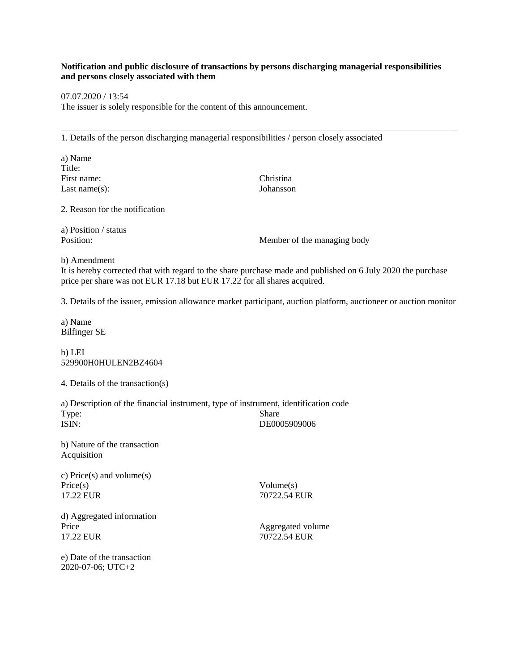## **Notification and public disclosure of transactions by persons discharging managerial responsibilities and persons closely associated with them**

07.07.2020 / 13:54

The issuer is solely responsible for the content of this announcement.

1. Details of the person discharging managerial responsibilities / person closely associated

a) Name Title: First name: Christina Last name(s): Johansson

2. Reason for the notification

a) Position / status

Position: Member of the managing body

b) Amendment

It is hereby corrected that with regard to the share purchase made and published on 6 July 2020 the purchase price per share was not EUR 17.18 but EUR 17.22 for all shares acquired.

3. Details of the issuer, emission allowance market participant, auction platform, auctioneer or auction monitor

a) Name Bilfinger SE

b) LEI 529900H0HULEN2BZ4604

4. Details of the transaction(s)

a) Description of the financial instrument, type of instrument, identification code Type: Share ISIN: DE0005909006

b) Nature of the transaction Acquisition

c) Price(s) and volume(s) Price(s) Volume(s) 17.22 EUR 20722.54 EUR

d) Aggregated information Price Aggregated volume 17.22 EUR<br>17.22 EUR 70722.54 EUR

17.22 EUR 70722.54 EUR

e) Date of the transaction 2020-07-06; UTC+2